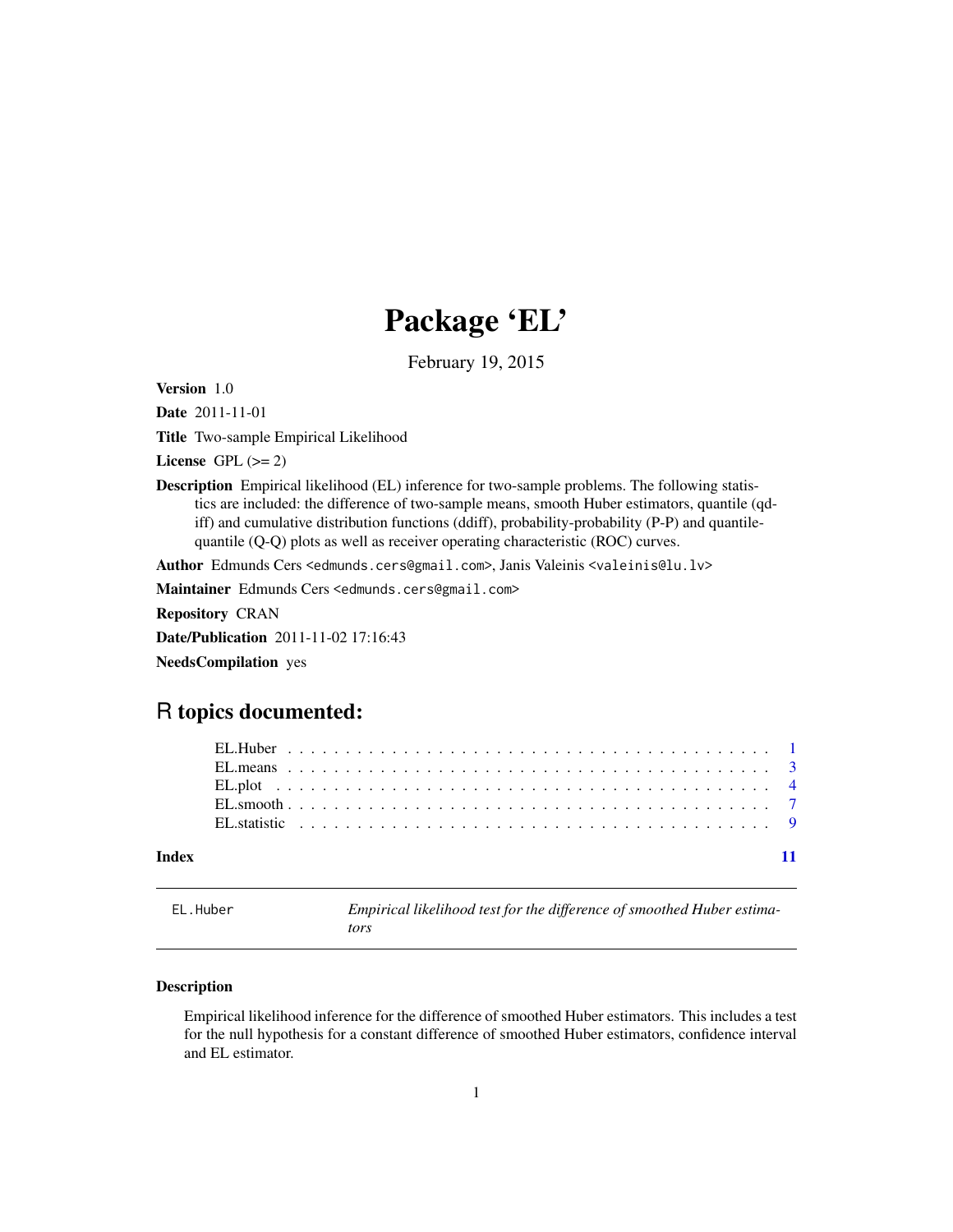# Package 'EL'

February 19, 2015

<span id="page-0-0"></span>Version 1.0

Date 2011-11-01

Title Two-sample Empirical Likelihood

License GPL  $(>= 2)$ 

Description Empirical likelihood (EL) inference for two-sample problems. The following statistics are included: the difference of two-sample means, smooth Huber estimators, quantile (qdiff) and cumulative distribution functions (ddiff), probability-probability (P-P) and quantilequantile (Q-Q) plots as well as receiver operating characteristic (ROC) curves.

Author Edmunds Cers <edmunds.cers@gmail.com>, Janis Valeinis <valeinis@lu.lv>

Maintainer Edmunds Cers <edmunds.cers@gmail.com>

Repository CRAN

Date/Publication 2011-11-02 17:16:43

NeedsCompilation yes

# R topics documented:

| Index |  |  |  |  |  |  |  |  |  |  |  |  |  |  |  |  |  |  |  |  |
|-------|--|--|--|--|--|--|--|--|--|--|--|--|--|--|--|--|--|--|--|--|

<span id="page-0-1"></span>EL.Huber *Empirical likelihood test for the difference of smoothed Huber estimators*

# Description

Empirical likelihood inference for the difference of smoothed Huber estimators. This includes a test for the null hypothesis for a constant difference of smoothed Huber estimators, confidence interval and EL estimator.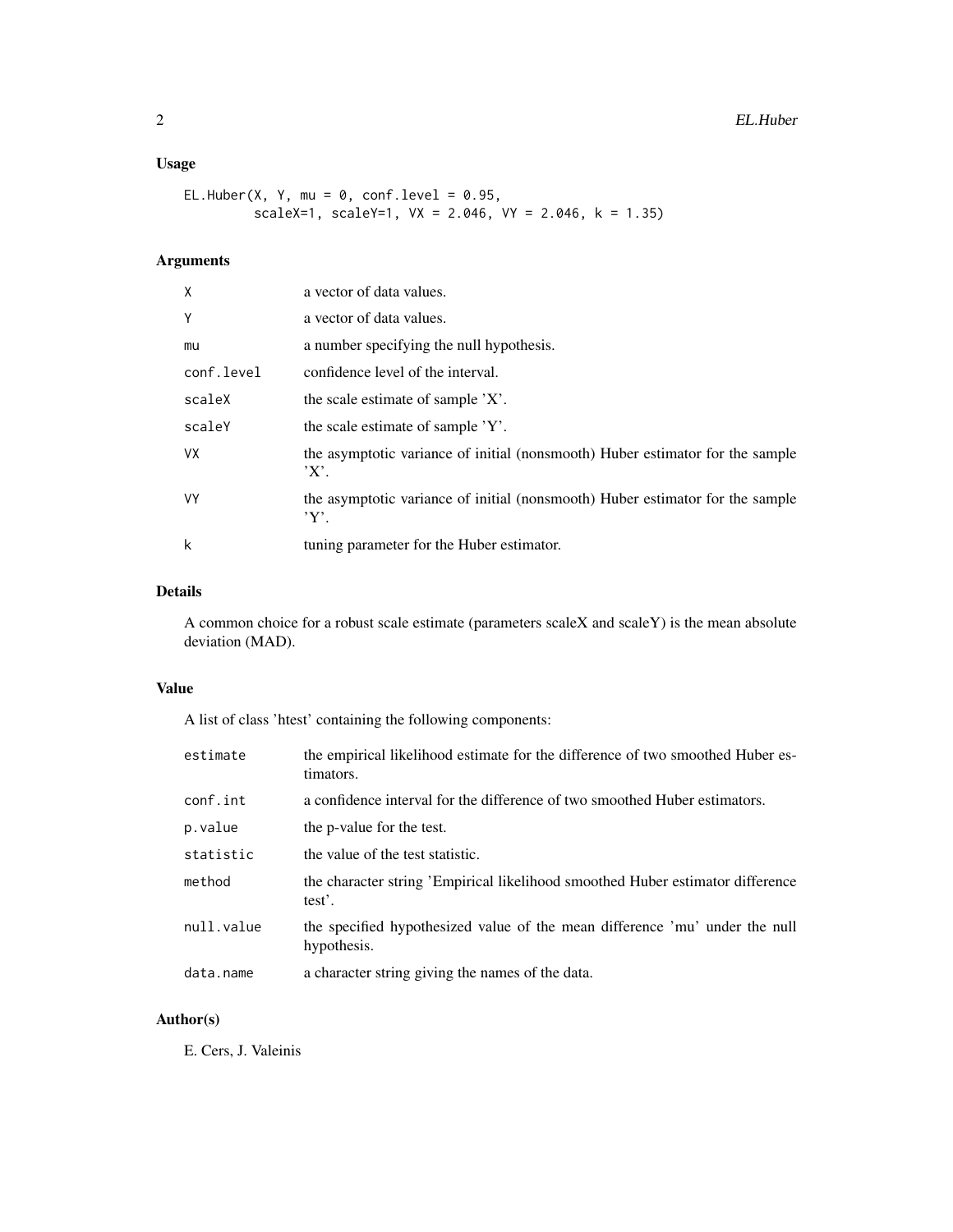# Usage

```
EL.Huber(X, Y, mu = 0, conf.level = 0.95,
        scaleX=1, scaleY=1, VX = 2.046, VY = 2.046, k = 1.35)
```
# Arguments

| X          | a vector of data values.                                                                |
|------------|-----------------------------------------------------------------------------------------|
| Y          | a vector of data values.                                                                |
| mu         | a number specifying the null hypothesis.                                                |
| conf.level | confidence level of the interval.                                                       |
| scaleX     | the scale estimate of sample 'X'.                                                       |
| scaleY     | the scale estimate of sample 'Y'.                                                       |
| VX.        | the asymptotic variance of initial (nonsmooth) Huber estimator for the sample<br>'X'.   |
| <b>VY</b>  | the asymptotic variance of initial (nonsmooth) Huber estimator for the sample<br>$Y'$ . |
| k          | tuning parameter for the Huber estimator.                                               |

# Details

A common choice for a robust scale estimate (parameters scaleX and scaleY) is the mean absolute deviation (MAD).

# Value

A list of class 'htest' containing the following components:

| estimate   | the empirical likelihood estimate for the difference of two smoothed Huber es-<br>timators. |
|------------|---------------------------------------------------------------------------------------------|
| conf.int   | a confidence interval for the difference of two smoothed Huber estimators.                  |
| p.value    | the p-value for the test.                                                                   |
| statistic  | the value of the test statistic.                                                            |
| method     | the character string 'Empirical likelihood smoothed Huber estimator difference<br>test'.    |
| null.value | the specified hypothesized value of the mean difference 'mu' under the null<br>hypothesis.  |
| data.name  | a character string giving the names of the data.                                            |

# Author(s)

E. Cers, J. Valeinis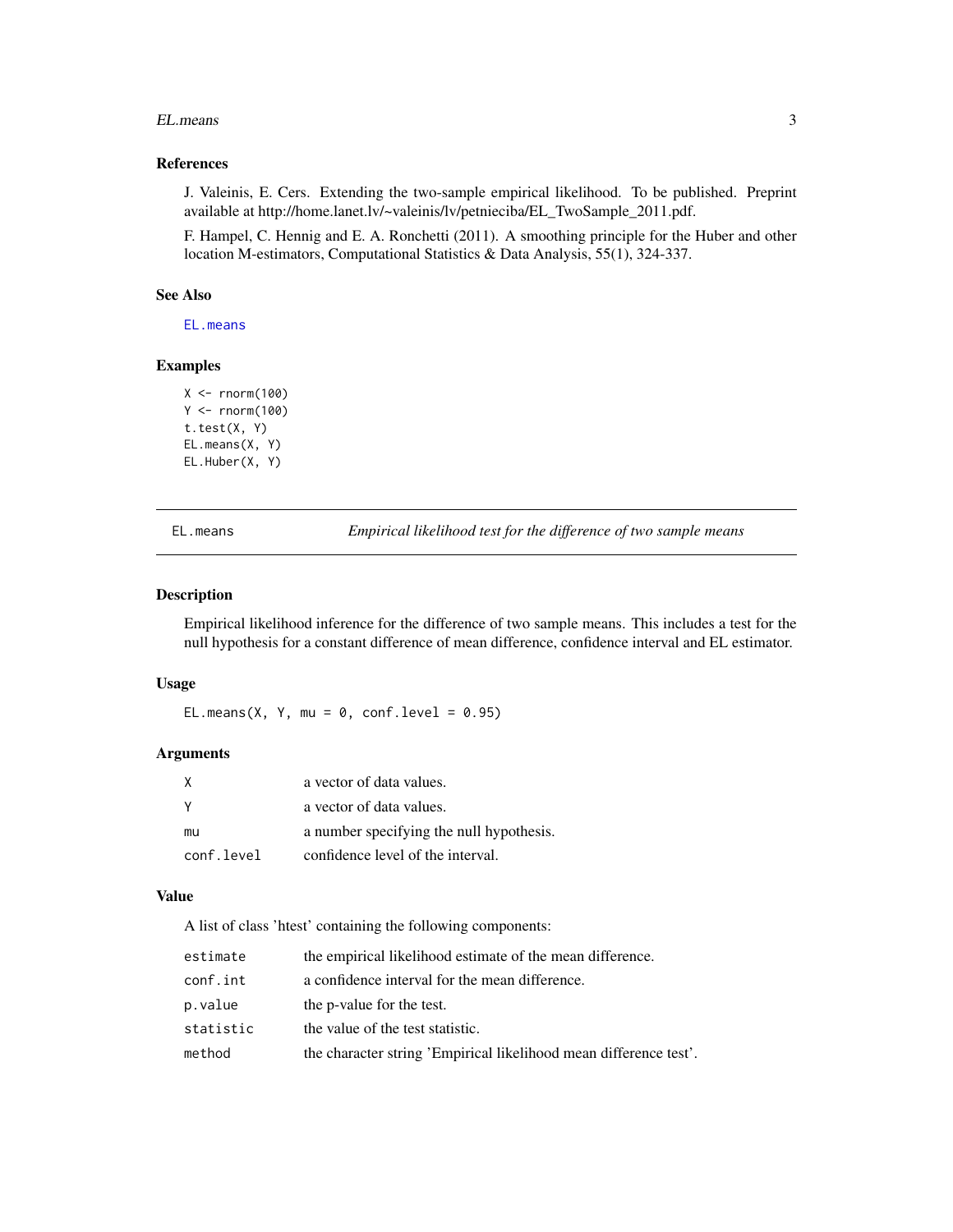#### <span id="page-2-0"></span>EL.means 3

# References

J. Valeinis, E. Cers. Extending the two-sample empirical likelihood. To be published. Preprint available at http://home.lanet.lv/~valeinis/lv/petnieciba/EL\_TwoSample\_2011.pdf.

F. Hampel, C. Hennig and E. A. Ronchetti (2011). A smoothing principle for the Huber and other location M-estimators, Computational Statistics & Data Analysis, 55(1), 324-337.

# See Also

[EL.means](#page-2-1)

# Examples

```
X < - rnorm(100)
Y <- rnorm(100)
t.test(X, Y)
EL.means(X, Y)
EL.Huber(X, Y)
```
<span id="page-2-1"></span>EL.means *Empirical likelihood test for the difference of two sample means*

## Description

Empirical likelihood inference for the difference of two sample means. This includes a test for the null hypothesis for a constant difference of mean difference, confidence interval and EL estimator.

# Usage

EL.means(X, Y, mu =  $0$ , conf.level =  $0.95$ )

# Arguments

| X          | a vector of data values.                 |
|------------|------------------------------------------|
|            | a vector of data values.                 |
| mu         | a number specifying the null hypothesis. |
| conf.level | confidence level of the interval.        |

# Value

A list of class 'htest' containing the following components:

| estimate  | the empirical likelihood estimate of the mean difference.         |
|-----------|-------------------------------------------------------------------|
| conf.int  | a confidence interval for the mean difference.                    |
| p.value   | the p-value for the test.                                         |
| statistic | the value of the test statistic.                                  |
| method    | the character string 'Empirical likelihood mean difference test'. |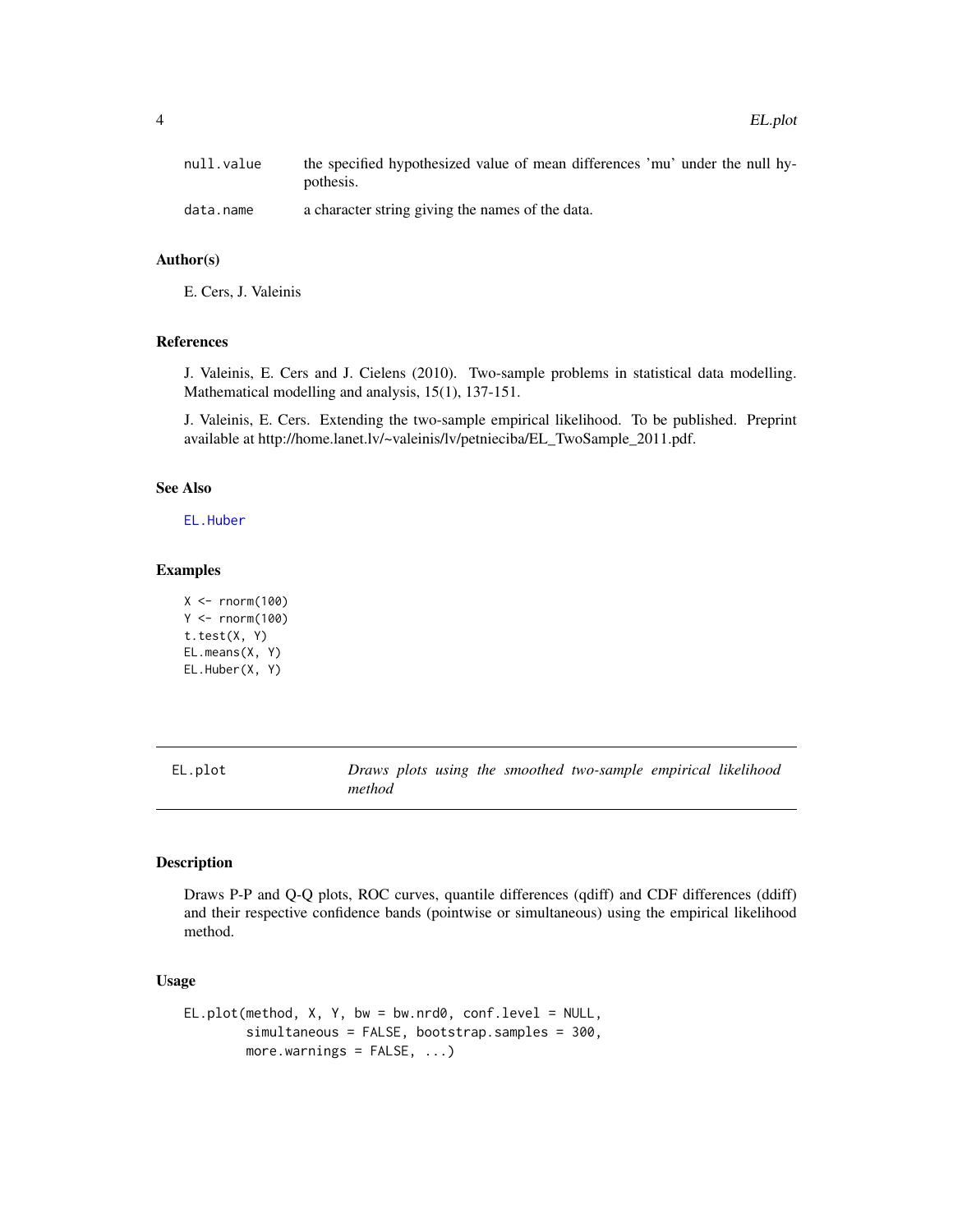<span id="page-3-0"></span>

| null.value | the specified hypothesized value of mean differences 'mu' under the null hy-<br>pothesis. |
|------------|-------------------------------------------------------------------------------------------|
| data.name  | a character string giving the names of the data.                                          |

# Author(s)

E. Cers, J. Valeinis

# References

J. Valeinis, E. Cers and J. Cielens (2010). Two-sample problems in statistical data modelling. Mathematical modelling and analysis, 15(1), 137-151.

J. Valeinis, E. Cers. Extending the two-sample empirical likelihood. To be published. Preprint available at http://home.lanet.lv/~valeinis/lv/petnieciba/EL\_TwoSample\_2011.pdf.

# See Also

[EL.Huber](#page-0-1)

## Examples

```
X < - rnorm(100)
Y < -rnorm(100)t.test(X, Y)
EL.means(X, Y)
EL.Huber(X, Y)
```
<span id="page-3-1"></span>EL.plot *Draws plots using the smoothed two-sample empirical likelihood method*

### Description

Draws P-P and Q-Q plots, ROC curves, quantile differences (qdiff) and CDF differences (ddiff) and their respective confidence bands (pointwise or simultaneous) using the empirical likelihood method.

## Usage

```
EL.plot(method, X, Y, bw = bw.nrd0, conf.level = NULL,
       simultaneous = FALSE, bootstrap.samples = 300,
       more.warnings = FALSE, ...)
```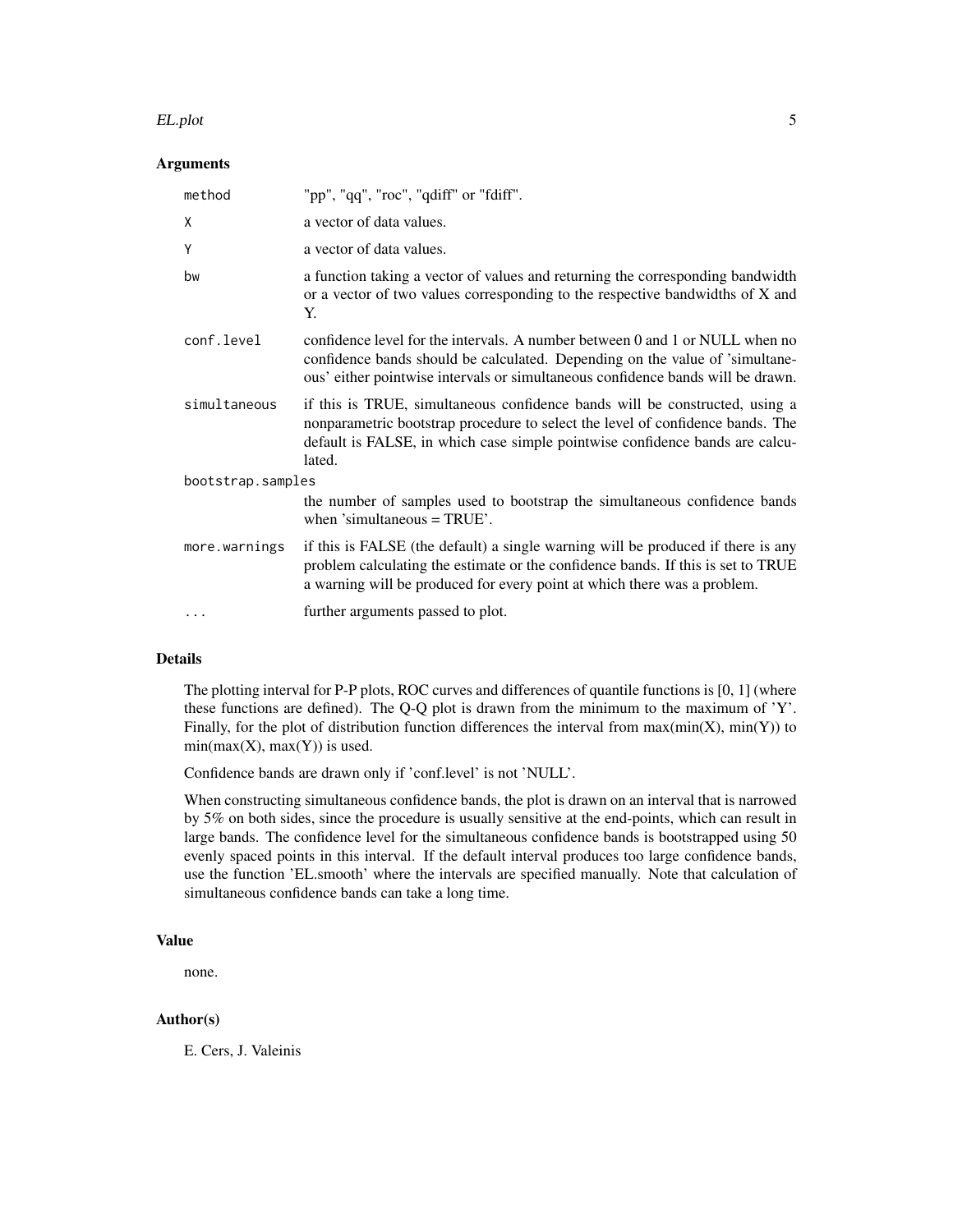#### EL.plot 5

# Arguments

| method            | "pp", "qq", "roc", "qdiff" or "fdiff".                                                                                                                                                                                                                  |  |  |  |  |  |
|-------------------|---------------------------------------------------------------------------------------------------------------------------------------------------------------------------------------------------------------------------------------------------------|--|--|--|--|--|
| X                 | a vector of data values.                                                                                                                                                                                                                                |  |  |  |  |  |
| Y                 | a vector of data values.                                                                                                                                                                                                                                |  |  |  |  |  |
| bw                | a function taking a vector of values and returning the corresponding bandwidth<br>or a vector of two values corresponding to the respective bandwidths of X and<br>Y.                                                                                   |  |  |  |  |  |
| conf.level        | confidence level for the intervals. A number between 0 and 1 or NULL when no<br>confidence bands should be calculated. Depending on the value of 'simultane-<br>ous' either pointwise intervals or simultaneous confidence bands will be drawn.         |  |  |  |  |  |
| simultaneous      | if this is TRUE, simultaneous confidence bands will be constructed, using a<br>nonparametric bootstrap procedure to select the level of confidence bands. The<br>default is FALSE, in which case simple pointwise confidence bands are calcu-<br>lated. |  |  |  |  |  |
| bootstrap.samples |                                                                                                                                                                                                                                                         |  |  |  |  |  |
|                   | the number of samples used to bootstrap the simultaneous confidence bands<br>when 'simultaneous $=$ TRUE'.                                                                                                                                              |  |  |  |  |  |
| more.warnings     | if this is FALSE (the default) a single warning will be produced if there is any<br>problem calculating the estimate or the confidence bands. If this is set to TRUE<br>a warning will be produced for every point at which there was a problem.        |  |  |  |  |  |
| .                 | further arguments passed to plot.                                                                                                                                                                                                                       |  |  |  |  |  |

# Details

The plotting interval for P-P plots, ROC curves and differences of quantile functions is [0, 1] (where these functions are defined). The Q-Q plot is drawn from the minimum to the maximum of 'Y'. Finally, for the plot of distribution function differences the interval from  $max(min(X), min(Y))$  to  $min(max(X), max(Y))$  is used.

Confidence bands are drawn only if 'conf.level' is not 'NULL'.

When constructing simultaneous confidence bands, the plot is drawn on an interval that is narrowed by 5% on both sides, since the procedure is usually sensitive at the end-points, which can result in large bands. The confidence level for the simultaneous confidence bands is bootstrapped using 50 evenly spaced points in this interval. If the default interval produces too large confidence bands, use the function 'EL.smooth' where the intervals are specified manually. Note that calculation of simultaneous confidence bands can take a long time.

# Value

none.

# Author(s)

E. Cers, J. Valeinis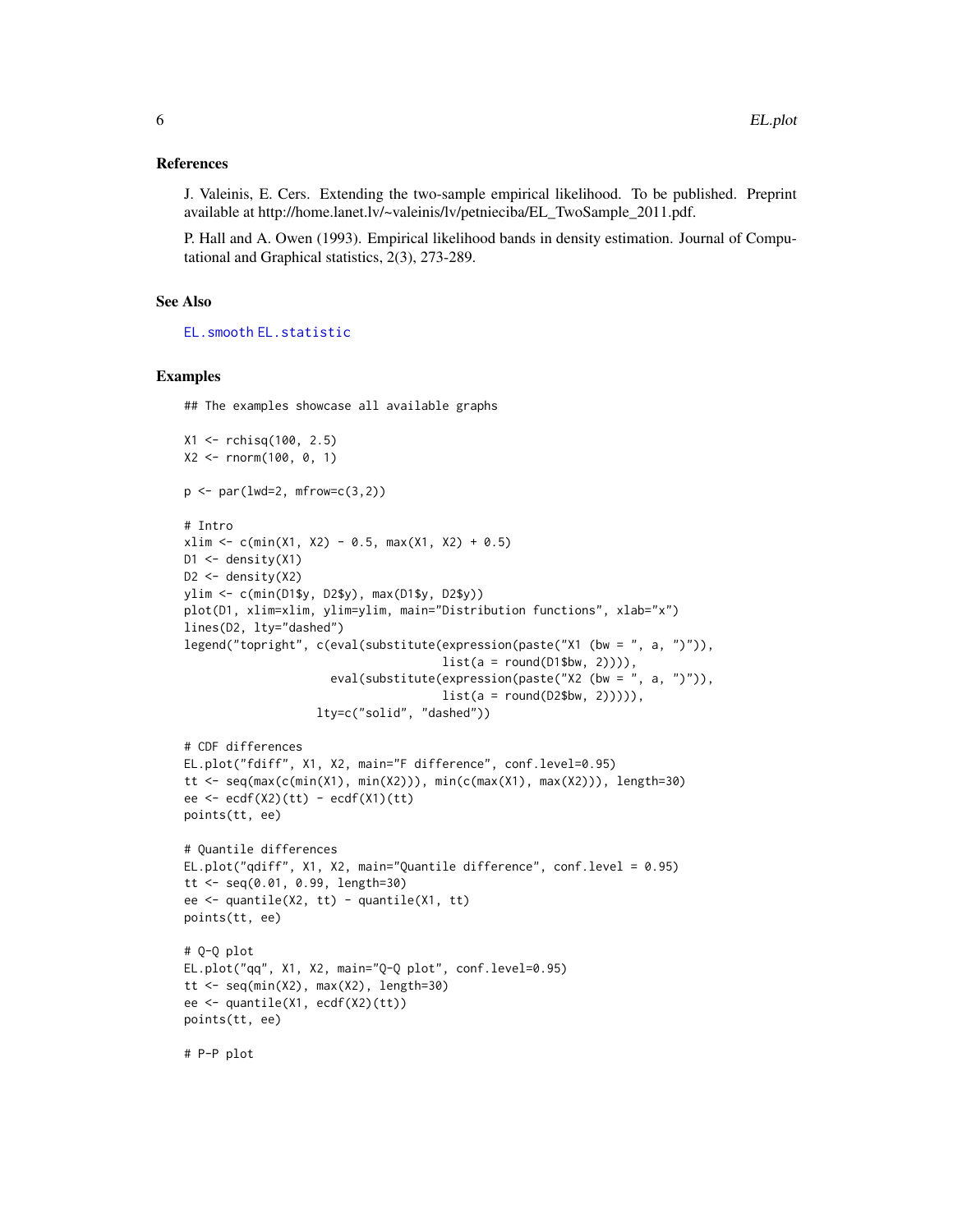## <span id="page-5-0"></span>References

J. Valeinis, E. Cers. Extending the two-sample empirical likelihood. To be published. Preprint available at http://home.lanet.lv/~valeinis/lv/petnieciba/EL\_TwoSample\_2011.pdf.

P. Hall and A. Owen (1993). Empirical likelihood bands in density estimation. Journal of Computational and Graphical statistics, 2(3), 273-289.

# See Also

[EL.smooth](#page-6-1) [EL.statistic](#page-8-1)

#### Examples

## The examples showcase all available graphs

```
X1 <- rchisq(100, 2.5)
X2 <- rnorm(100, 0, 1)
p \leftarrow par(lwd=2, mfrom=c(3,2))# Intro
xlim \leftarrow c(min(X1, X2) - 0.5, max(X1, X2) + 0.5)D1 \le - density(X1)
D2 <- density(X2)
ylim <- c(min(D1$y, D2$y), max(D1$y, D2$y))
plot(D1, xlim=xlim, ylim=ylim, main="Distribution functions", xlab="x")
lines(D2, lty="dashed")
legend("topright", c(eval(substitute(expression(paste("X1 (bw = ", a, ")")),
                                      list(a = round(D1$bw, 2)))),
                     eval(substitute(expression(paste("X2 (bw = ", a, ")")),
                                      list(a = round(D2$bw, 2)))),
                   lty=c("solid", "dashed"))
# CDF differences
EL.plot("fdiff", X1, X2, main="F difference", conf.level=0.95)
tt <- seq(max(c(min(X1), min(X2))), min(c(max(X1), max(X2))), length=30)
ee \leftarrow ecf(X2)(tt) - ecdf(X1)(tt)points(tt, ee)
# Quantile differences
EL.plot("qdiff", X1, X2, main="Quantile difference", conf.level = 0.95)
tt <- seq(0.01, 0.99, length=30)
ee <- quantile(X2, tt) - quantile(X1, tt)
points(tt, ee)
# Q-Q plot
EL.plot("qq", X1, X2, main="Q-Q plot", conf.level=0.95)
tt \leq seq(min(X2), max(X2), length=30)
ee <- quantile(X1, ecdf(X2)(tt))
points(tt, ee)
# P-P plot
```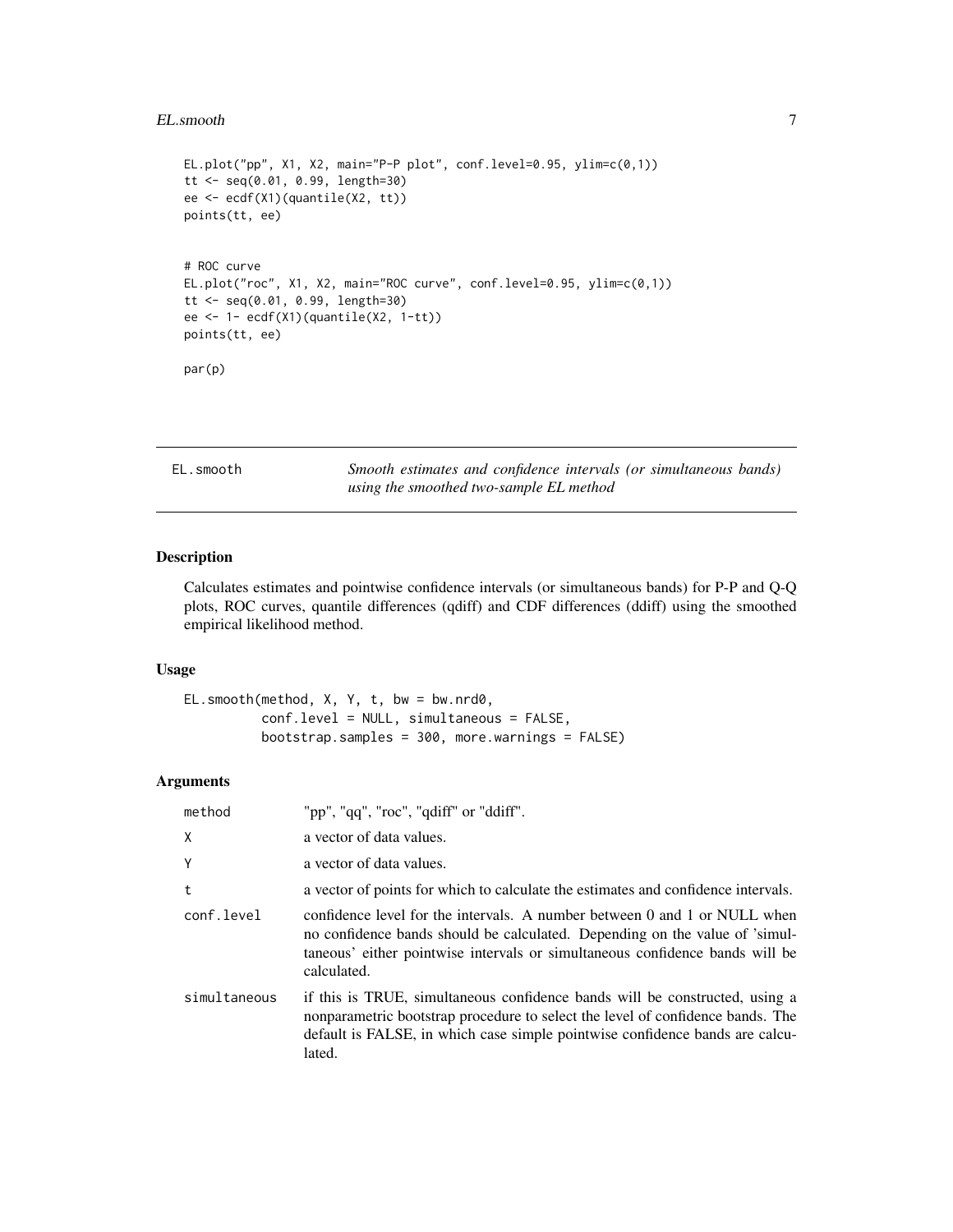#### <span id="page-6-0"></span>EL.smooth 7

```
EL.plot("pp", X1, X2, main="P-P plot", conf.level=0.95, ylim=c(0,1))
tt <- seq(0.01, 0.99, length=30)
ee <- ecdf(X1)(quantile(X2, tt))
points(tt, ee)
# ROC curve
EL.plot("roc", X1, X2, main="ROC curve", conf.level=0.95, ylim=c(0,1))
tt <- seq(0.01, 0.99, length=30)
ee <- 1- ecdf(X1)(quantile(X2, 1-tt))
points(tt, ee)
par(p)
```
<span id="page-6-1"></span>EL.smooth *Smooth estimates and confidence intervals (or simultaneous bands) using the smoothed two-sample EL method*

# Description

Calculates estimates and pointwise confidence intervals (or simultaneous bands) for P-P and Q-Q plots, ROC curves, quantile differences (qdiff) and CDF differences (ddiff) using the smoothed empirical likelihood method.

### Usage

```
EL.smooth(method, X, Y, t, bw = bw.nrd0,
          conf.level = NULL, simultaneous = FALSE,
          bootstrap.samples = 300, more.warnings = FALSE)
```
# Arguments

| method       | "pp", "qq", "roc", "qdiff" or "ddiff".                                                                                                                                                                                                                  |
|--------------|---------------------------------------------------------------------------------------------------------------------------------------------------------------------------------------------------------------------------------------------------------|
| X            | a vector of data values.                                                                                                                                                                                                                                |
| Y            | a vector of data values.                                                                                                                                                                                                                                |
| t            | a vector of points for which to calculate the estimates and confidence intervals.                                                                                                                                                                       |
| conf.level   | confidence level for the intervals. A number between 0 and 1 or NULL when<br>no confidence bands should be calculated. Depending on the value of 'simul-<br>taneous' either pointwise intervals or simultaneous confidence bands will be<br>calculated. |
| simultaneous | if this is TRUE, simultaneous confidence bands will be constructed, using a<br>nonparametric bootstrap procedure to select the level of confidence bands. The<br>default is FALSE, in which case simple pointwise confidence bands are calcu-<br>lated. |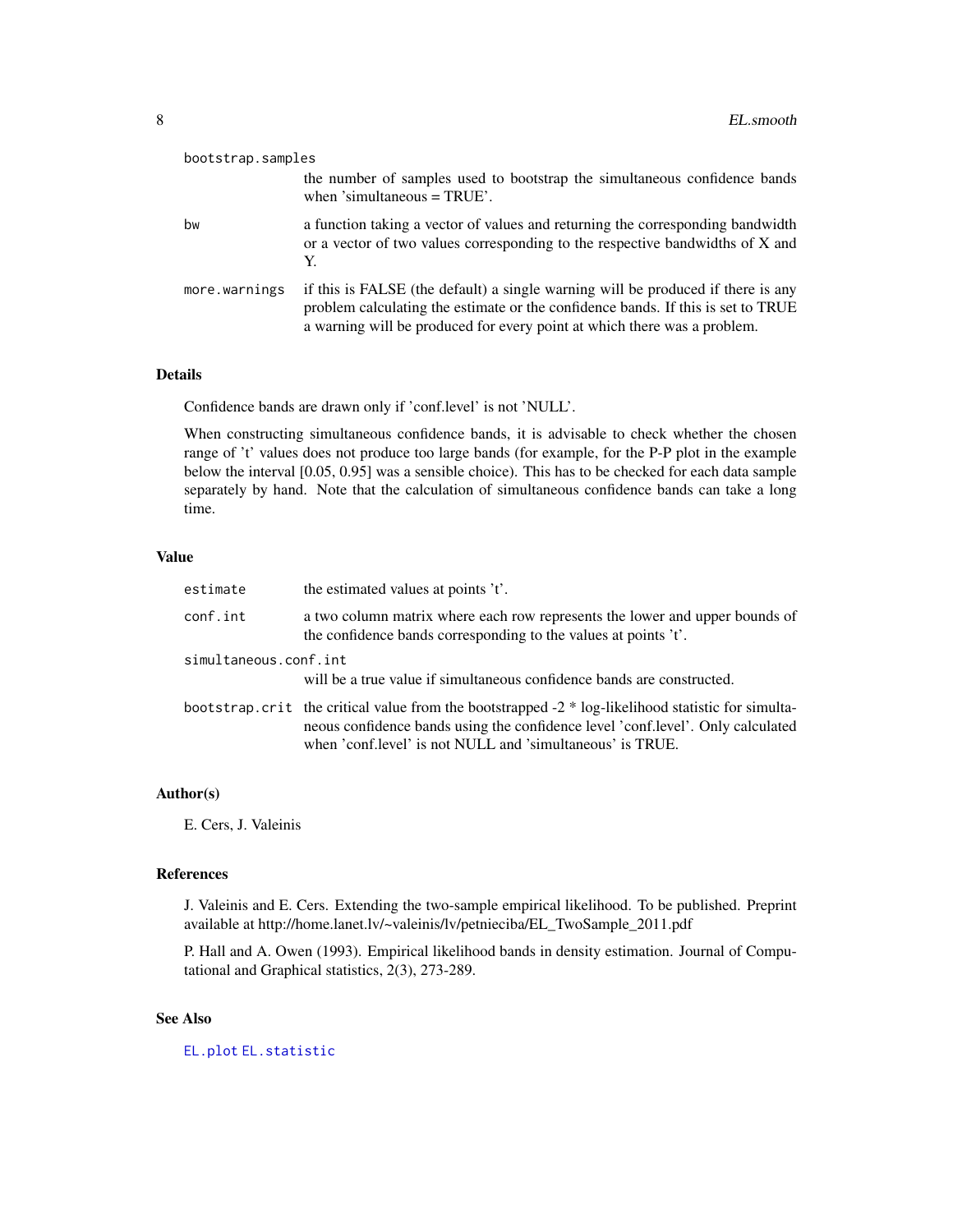<span id="page-7-0"></span>

| bootstrap.samples |                                                                                                                                                                                                                                                  |
|-------------------|--------------------------------------------------------------------------------------------------------------------------------------------------------------------------------------------------------------------------------------------------|
|                   | the number of samples used to bootstrap the simultaneous confidence bands<br>when 'simultaneous $=$ TRUE'.                                                                                                                                       |
| bw                | a function taking a vector of values and returning the corresponding bandwidth<br>or a vector of two values corresponding to the respective bandwidths of X and<br>Y.                                                                            |
| more.warnings     | if this is FALSE (the default) a single warning will be produced if there is any<br>problem calculating the estimate or the confidence bands. If this is set to TRUE<br>a warning will be produced for every point at which there was a problem. |

# Details

Confidence bands are drawn only if 'conf.level' is not 'NULL'.

When constructing simultaneous confidence bands, it is advisable to check whether the chosen range of 't' values does not produce too large bands (for example, for the P-P plot in the example below the interval [0.05, 0.95] was a sensible choice). This has to be checked for each data sample separately by hand. Note that the calculation of simultaneous confidence bands can take a long time.

# Value

| estimate              | the estimated values at points 't'.                                                                                                                                                                                                                |
|-----------------------|----------------------------------------------------------------------------------------------------------------------------------------------------------------------------------------------------------------------------------------------------|
| conf.int              | a two column matrix where each row represents the lower and upper bounds of<br>the confidence bands corresponding to the values at points 't'.                                                                                                     |
| simultaneous.conf.int | will be a true value if simultaneous confidence bands are constructed.                                                                                                                                                                             |
|                       | bootstrap.crit the critical value from the bootstrapped -2 * log-likelihood statistic for simulta-<br>neous confidence bands using the confidence level 'conf.level'. Only calculated<br>when 'conf.level' is not NULL and 'simultaneous' is TRUE. |

# Author(s)

E. Cers, J. Valeinis

#### References

J. Valeinis and E. Cers. Extending the two-sample empirical likelihood. To be published. Preprint available at http://home.lanet.lv/~valeinis/lv/petnieciba/EL\_TwoSample\_2011.pdf

P. Hall and A. Owen (1993). Empirical likelihood bands in density estimation. Journal of Computational and Graphical statistics, 2(3), 273-289.

# See Also

[EL.plot](#page-3-1) [EL.statistic](#page-8-1)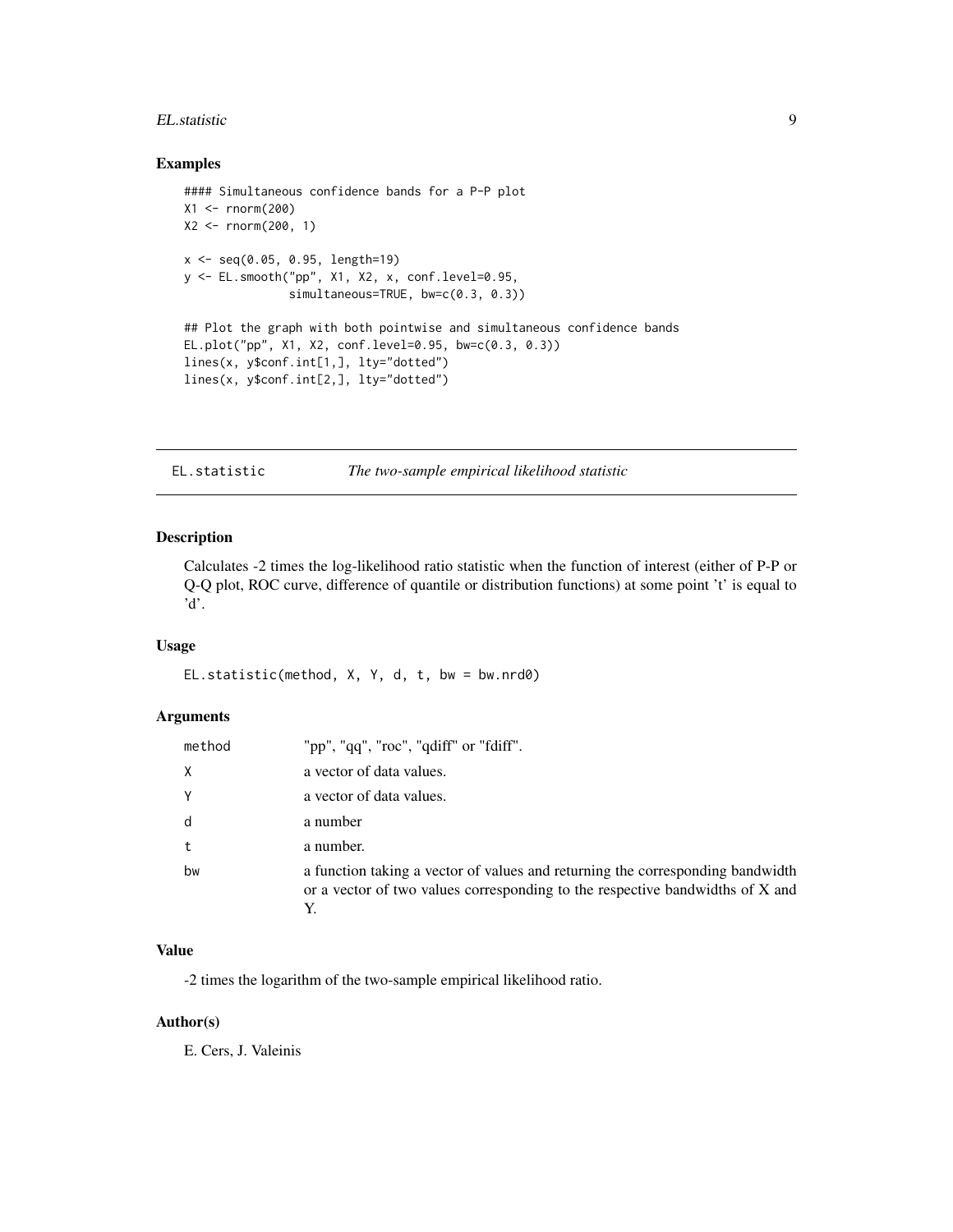#### <span id="page-8-0"></span>EL.statistic 9

# Examples

```
#### Simultaneous confidence bands for a P-P plot
X1 <- rnorm(200)X2 \le - rnorm(200, 1)
x <- seq(0.05, 0.95, length=19)
y <- EL.smooth("pp", X1, X2, x, conf.level=0.95,
               simultaneous=TRUE, bw=c(0.3, 0.3))
## Plot the graph with both pointwise and simultaneous confidence bands
EL.plot("pp", X1, X2, conf.level=0.95, bw=c(0.3, 0.3))
lines(x, y$conf.int[1,], lty="dotted")
lines(x, y$conf.int[2,], lty="dotted")
```
<span id="page-8-1"></span>EL.statistic *The two-sample empirical likelihood statistic*

# Description

Calculates -2 times the log-likelihood ratio statistic when the function of interest (either of P-P or Q-Q plot, ROC curve, difference of quantile or distribution functions) at some point 't' is equal to 'd'.

#### Usage

EL.statistic(method, X, Y, d, t, bw = bw.nrd0)

# Arguments

| method | "pp", "qq", "roc", "qdiff" or "fdiff".                                                                                                                          |
|--------|-----------------------------------------------------------------------------------------------------------------------------------------------------------------|
| Χ      | a vector of data values.                                                                                                                                        |
| Υ      | a vector of data values.                                                                                                                                        |
| d      | a number                                                                                                                                                        |
| t      | a number.                                                                                                                                                       |
| bw     | a function taking a vector of values and returning the corresponding bandwidth<br>or a vector of two values corresponding to the respective bandwidths of X and |

# Value

-2 times the logarithm of the two-sample empirical likelihood ratio.

## Author(s)

E. Cers, J. Valeinis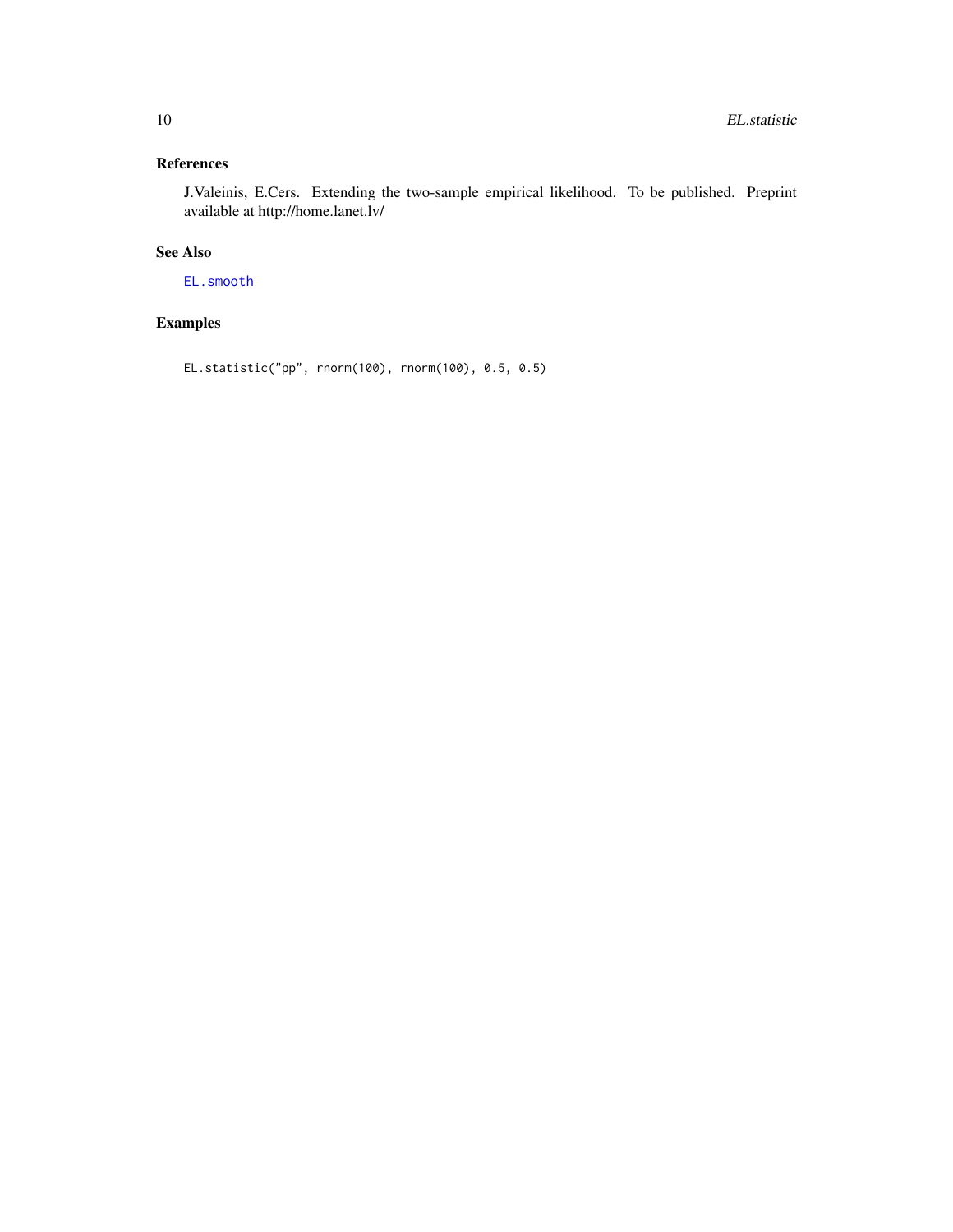# <span id="page-9-0"></span>References

J.Valeinis, E.Cers. Extending the two-sample empirical likelihood. To be published. Preprint available at http://home.lanet.lv/

# See Also

[EL.smooth](#page-6-1)

# Examples

```
EL.statistic("pp", rnorm(100), rnorm(100), 0.5, 0.5)
```